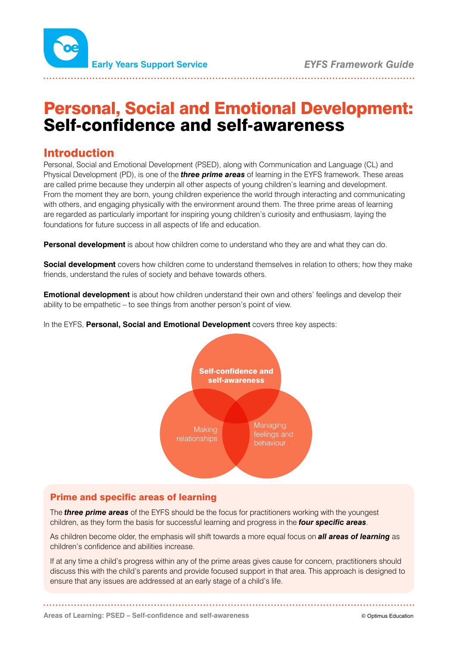

# Personal, Social and Emotional Development: Self-confidence and self-awareness

# Introduction

Personal, Social and Emotional Development (PSED), along with Communication and Language (CL) and Physical Development (PD), is one of the *three prime areas* of learning in the EYFS framework. These areas are called prime because they underpin all other aspects of young children's learning and development. From the moment they are born, young children experience the world through interacting and communicating with others, and engaging physically with the environment around them. The three prime areas of learning are regarded as particularly important for inspiring young children's curiosity and enthusiasm, laying the foundations for future success in all aspects of life and education.

**Personal development** is about how children come to understand who they are and what they can do.

**Social development** covers how children come to understand themselves in relation to others; how they make friends, understand the rules of society and behave towards others.

**Emotional development** is about how children understand their own and others' feelings and develop their ability to be empathetic – to see things from another person's point of view.

In the EYFS, **Personal, Social and Emotional Development** covers three key aspects:



# Prime and specific areas of learning

The *three prime areas* of the EYFS should be the focus for practitioners working with the youngest children, as they form the basis for successful learning and progress in the *four specific areas*.

As children become older, the emphasis will shift towards a more equal focus on *all areas of learning* as children's confidence and abilities increase.

If at any time a child's progress within any of the prime areas gives cause for concern, practitioners should discuss this with the child's parents and provide focused support in that area. This approach is designed to ensure that any issues are addressed at an early stage of a child's life.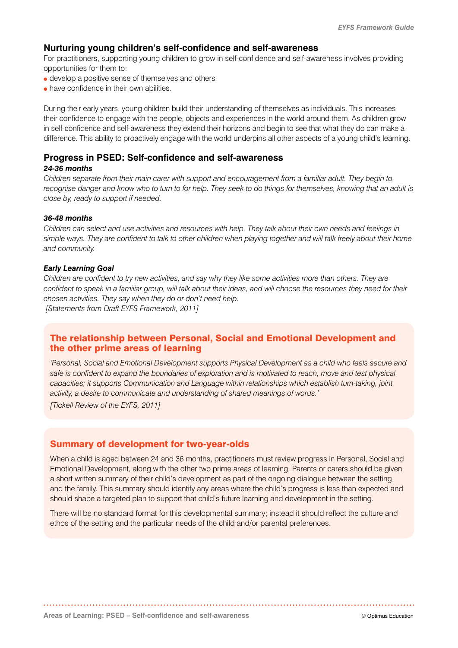# **Nurturing young children's self-confidence and self-awareness**

For practitioners, supporting young children to grow in self-confidence and self-awareness involves providing opportunities for them to:

- develop a positive sense of themselves and others
- have confidence in their own abilities.

During their early years, young children build their understanding of themselves as individuals. This increases their confidence to engage with the people, objects and experiences in the world around them. As children grow in self-confidence and self-awareness they extend their horizons and begin to see that what they do can make a difference. This ability to proactively engage with the world underpins all other aspects of a young child's learning.

# **Progress in PSED: Self-confidence and self-awareness**

#### *24-36 months*

*Children separate from their main carer with support and encouragement from a familiar adult. They begin to recognise danger and know who to turn to for help. They seek to do things for themselves, knowing that an adult is close by, ready to support if needed.*

#### *36-48 months*

*Children can select and use activities and resources with help. They talk about their own needs and feelings in simple ways. They are confident to talk to other children when playing together and will talk freely about their home and community.*

#### *Early Learning Goal*

*Children are confident to try new activities, and say why they like some activities more than others. They are confident to speak in a familiar group, will talk about their ideas, and will choose the resources they need for their chosen activities. They say when they do or don't need help. [Statements from Draft EYFS Framework, 2011]*

# The relationship between Personal, Social and Emotional Development and the other prime areas of learning

*'Personal, Social and Emotional Development supports Physical Development as a child who feels secure and safe is confident to expand the boundaries of exploration and is motivated to reach, move and test physical capacities; it supports Communication and Language within relationships which establish turn-taking, joint activity, a desire to communicate and understanding of shared meanings of words.'*

*[Tickell Review of the EYFS, 2011]*

# Summary of development for two-year-olds

When a child is aged between 24 and 36 months, practitioners must review progress in Personal, Social and Emotional Development, along with the other two prime areas of learning. Parents or carers should be given a short written summary of their child's development as part of the ongoing dialogue between the setting and the family. This summary should identify any areas where the child's progress is less than expected and should shape a targeted plan to support that child's future learning and development in the setting.

There will be no standard format for this developmental summary; instead it should reflect the culture and ethos of the setting and the particular needs of the child and/or parental preferences.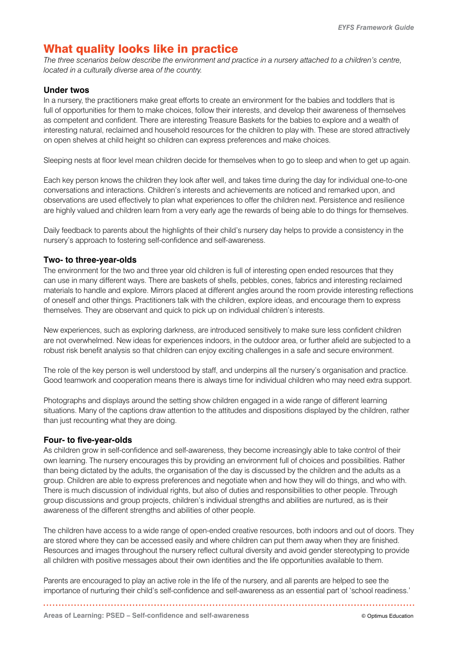# What quality looks like in practice

*The three scenarios below describe the environment and practice in a nursery attached to a children's centre, located in a culturally diverse area of the country.*

#### **Under twos**

In a nursery, the practitioners make great efforts to create an environment for the babies and toddlers that is full of opportunities for them to make choices, follow their interests, and develop their awareness of themselves as competent and confident. There are interesting Treasure Baskets for the babies to explore and a wealth of interesting natural, reclaimed and household resources for the children to play with. These are stored attractively on open shelves at child height so children can express preferences and make choices.

Sleeping nests at floor level mean children decide for themselves when to go to sleep and when to get up again.

Each key person knows the children they look after well, and takes time during the day for individual one-to-one conversations and interactions. Children's interests and achievements are noticed and remarked upon, and observations are used effectively to plan what experiences to offer the children next. Persistence and resilience are highly valued and children learn from a very early age the rewards of being able to do things for themselves.

Daily feedback to parents about the highlights of their child's nursery day helps to provide a consistency in the nursery's approach to fostering self-confidence and self-awareness.

#### **Two- to three-year-olds**

The environment for the two and three year old children is full of interesting open ended resources that they can use in many different ways. There are baskets of shells, pebbles, cones, fabrics and interesting reclaimed materials to handle and explore. Mirrors placed at different angles around the room provide interesting reflections of oneself and other things. Practitioners talk with the children, explore ideas, and encourage them to express themselves. They are observant and quick to pick up on individual children's interests.

New experiences, such as exploring darkness, are introduced sensitively to make sure less confident children are not overwhelmed. New ideas for experiences indoors, in the outdoor area, or further afield are subjected to a robust risk benefit analysis so that children can enjoy exciting challenges in a safe and secure environment.

The role of the key person is well understood by staff, and underpins all the nursery's organisation and practice. Good teamwork and cooperation means there is always time for individual children who may need extra support.

Photographs and displays around the setting show children engaged in a wide range of different learning situations. Many of the captions draw attention to the attitudes and dispositions displayed by the children, rather than just recounting what they are doing.

#### **Four- to five-year-olds**

As children grow in self-confidence and self-awareness, they become increasingly able to take control of their own learning. The nursery encourages this by providing an environment full of choices and possibilities. Rather than being dictated by the adults, the organisation of the day is discussed by the children and the adults as a group. Children are able to express preferences and negotiate when and how they will do things, and who with. There is much discussion of individual rights, but also of duties and responsibilities to other people. Through group discussions and group projects, children's individual strengths and abilities are nurtured, as is their awareness of the different strengths and abilities of other people.

The children have access to a wide range of open-ended creative resources, both indoors and out of doors. They are stored where they can be accessed easily and where children can put them away when they are finished. Resources and images throughout the nursery reflect cultural diversity and avoid gender stereotyping to provide all children with positive messages about their own identities and the life opportunities available to them.

Parents are encouraged to play an active role in the life of the nursery, and all parents are helped to see the importance of nurturing their child's self-confidence and self-awareness as an essential part of 'school readiness.'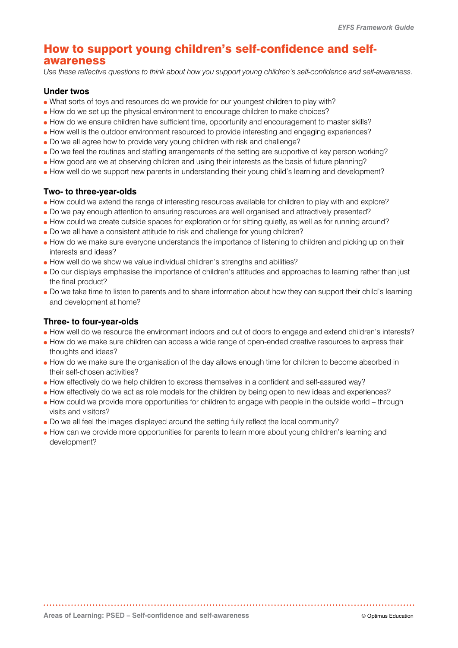# How to support young children's self-confidence and selfawareness

*Use these reflective questions to think about how you support young children's self-confidence and self-awareness.*

### **Under twos**

- What sorts of toys and resources do we provide for our youngest children to play with?
- How do we set up the physical environment to encourage children to make choices?
- How do we ensure children have sufficient time, opportunity and encouragement to master skills?
- How well is the outdoor environment resourced to provide interesting and engaging experiences?
- Do we all agree how to provide very young children with risk and challenge?
- Do we feel the routines and staffing arrangements of the setting are supportive of key person working?
- How good are we at observing children and using their interests as the basis of future planning?
- How well do we support new parents in understanding their young child's learning and development?

#### **Two- to three-year-olds**

- How could we extend the range of interesting resources available for children to play with and explore?
- Do we pay enough attention to ensuring resources are well organised and attractively presented?
- How could we create outside spaces for exploration or for sitting quietly, as well as for running around?
- Do we all have a consistent attitude to risk and challenge for young children?
- How do we make sure everyone understands the importance of listening to children and picking up on their interests and ideas?
- How well do we show we value individual children's strengths and abilities?
- Do our displays emphasise the importance of children's attitudes and approaches to learning rather than just the final product?
- Do we take time to listen to parents and to share information about how they can support their child's learning and development at home?

### **Three- to four-year-olds**

- How well do we resource the environment indoors and out of doors to engage and extend children's interests?
- How do we make sure children can access a wide range of open-ended creative resources to express their thoughts and ideas?
- How do we make sure the organisation of the day allows enough time for children to become absorbed in their self-chosen activities?
- How effectively do we help children to express themselves in a confident and self-assured way?
- How effectively do we act as role models for the children by being open to new ideas and experiences?
- How could we provide more opportunities for children to engage with people in the outside world through visits and visitors?
- Do we all feel the images displayed around the setting fully reflect the local community?
- How can we provide more opportunities for parents to learn more about young children's learning and development?